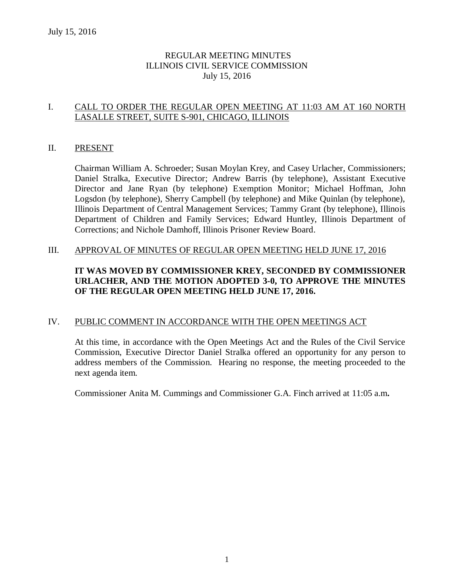## REGULAR MEETING MINUTES ILLINOIS CIVIL SERVICE COMMISSION July 15, 2016

## I. CALL TO ORDER THE REGULAR OPEN MEETING AT 11:03 AM AT 160 NORTH LASALLE STREET, SUITE S-901, CHICAGO, ILLINOIS

## II. PRESENT

Chairman William A. Schroeder; Susan Moylan Krey, and Casey Urlacher, Commissioners; Daniel Stralka, Executive Director; Andrew Barris (by telephone), Assistant Executive Director and Jane Ryan (by telephone) Exemption Monitor; Michael Hoffman, John Logsdon (by telephone), Sherry Campbell (by telephone) and Mike Quinlan (by telephone), Illinois Department of Central Management Services; Tammy Grant (by telephone), Illinois Department of Children and Family Services; Edward Huntley, Illinois Department of Corrections; and Nichole Damhoff, Illinois Prisoner Review Board.

## III. APPROVAL OF MINUTES OF REGULAR OPEN MEETING HELD JUNE 17, 2016

# **IT WAS MOVED BY COMMISSIONER KREY, SECONDED BY COMMISSIONER URLACHER, AND THE MOTION ADOPTED 3-0, TO APPROVE THE MINUTES OF THE REGULAR OPEN MEETING HELD JUNE 17, 2016.**

## IV. PUBLIC COMMENT IN ACCORDANCE WITH THE OPEN MEETINGS ACT

At this time, in accordance with the Open Meetings Act and the Rules of the Civil Service Commission, Executive Director Daniel Stralka offered an opportunity for any person to address members of the Commission. Hearing no response, the meeting proceeded to the next agenda item.

Commissioner Anita M. Cummings and Commissioner G.A. Finch arrived at 11:05 a.m**.**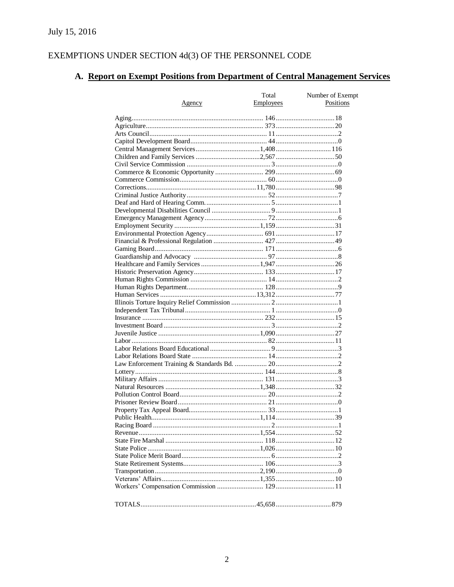# EXEMPTIONS UNDER SECTION  $4d(3)$  OF THE PERSONNEL CODE

# A. Report on Exempt Positions from Department of Central Management Services

|        | Total            | Number of Exempt |
|--------|------------------|------------------|
| Agency | <b>Employees</b> | Positions        |
|        |                  |                  |
|        |                  |                  |
|        |                  |                  |
|        |                  |                  |
|        |                  |                  |
|        |                  |                  |
|        |                  |                  |
|        |                  |                  |
|        |                  |                  |
|        |                  |                  |
|        |                  |                  |
|        |                  |                  |
|        |                  |                  |
|        |                  |                  |
|        |                  |                  |
|        |                  |                  |
|        |                  |                  |
|        |                  |                  |
|        |                  |                  |
|        |                  |                  |
|        |                  |                  |
|        |                  |                  |
|        |                  |                  |
|        |                  |                  |
|        |                  |                  |
|        |                  |                  |
|        |                  |                  |
|        |                  |                  |
|        |                  |                  |
|        |                  |                  |
|        |                  |                  |
|        |                  |                  |
|        |                  |                  |
|        |                  |                  |
|        |                  |                  |
|        |                  |                  |
|        |                  |                  |
|        |                  |                  |
|        |                  |                  |
|        |                  |                  |
|        |                  |                  |
|        |                  |                  |
|        |                  |                  |
|        |                  |                  |
|        |                  |                  |
|        |                  |                  |
|        |                  |                  |
|        |                  |                  |
|        |                  |                  |
|        |                  |                  |
|        |                  |                  |
|        |                  |                  |
|        |                  |                  |
|        |                  |                  |
|        |                  |                  |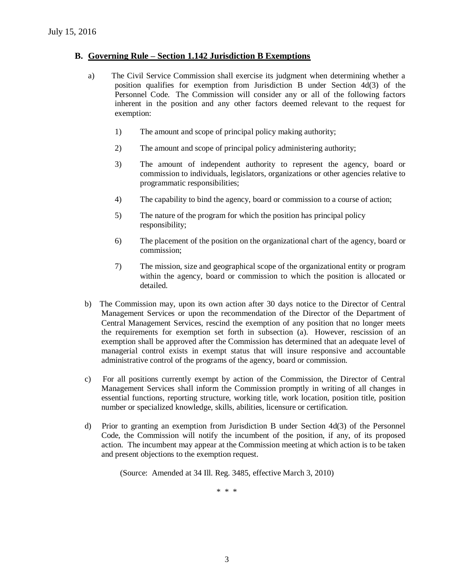## **B. Governing Rule – Section 1.142 Jurisdiction B Exemptions**

- a) The Civil Service Commission shall exercise its judgment when determining whether a position qualifies for exemption from Jurisdiction B under Section 4d(3) of the Personnel Code. The Commission will consider any or all of the following factors inherent in the position and any other factors deemed relevant to the request for exemption:
	- 1) The amount and scope of principal policy making authority;
	- 2) The amount and scope of principal policy administering authority;
	- 3) The amount of independent authority to represent the agency, board or commission to individuals, legislators, organizations or other agencies relative to programmatic responsibilities;
	- 4) The capability to bind the agency, board or commission to a course of action;
	- 5) The nature of the program for which the position has principal policy responsibility;
	- 6) The placement of the position on the organizational chart of the agency, board or commission;
	- 7) The mission, size and geographical scope of the organizational entity or program within the agency, board or commission to which the position is allocated or detailed.
- b) The Commission may, upon its own action after 30 days notice to the Director of Central Management Services or upon the recommendation of the Director of the Department of Central Management Services, rescind the exemption of any position that no longer meets the requirements for exemption set forth in subsection (a). However, rescission of an exemption shall be approved after the Commission has determined that an adequate level of managerial control exists in exempt status that will insure responsive and accountable administrative control of the programs of the agency, board or commission.
- c) For all positions currently exempt by action of the Commission, the Director of Central Management Services shall inform the Commission promptly in writing of all changes in essential functions, reporting structure, working title, work location, position title, position number or specialized knowledge, skills, abilities, licensure or certification.
- d) Prior to granting an exemption from Jurisdiction B under Section 4d(3) of the Personnel Code, the Commission will notify the incumbent of the position, if any, of its proposed action. The incumbent may appear at the Commission meeting at which action is to be taken and present objections to the exemption request.

(Source: Amended at 34 Ill. Reg. 3485, effective March 3, 2010)

\* \* \*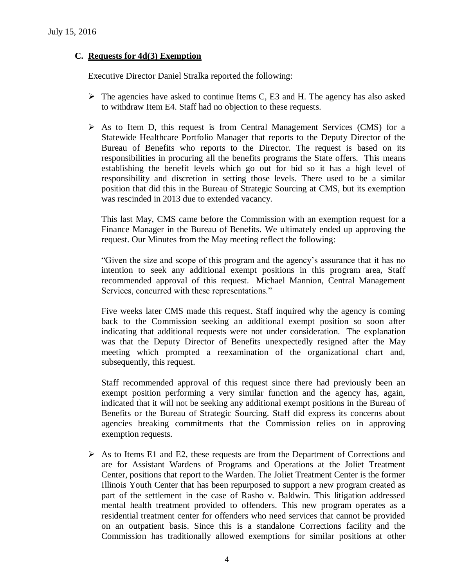## **C. Requests for 4d(3) Exemption**

Executive Director Daniel Stralka reported the following:

- $\triangleright$  The agencies have asked to continue Items C, E3 and H. The agency has also asked to withdraw Item E4. Staff had no objection to these requests.
- $\triangleright$  As to Item D, this request is from Central Management Services (CMS) for a Statewide Healthcare Portfolio Manager that reports to the Deputy Director of the Bureau of Benefits who reports to the Director. The request is based on its responsibilities in procuring all the benefits programs the State offers. This means establishing the benefit levels which go out for bid so it has a high level of responsibility and discretion in setting those levels. There used to be a similar position that did this in the Bureau of Strategic Sourcing at CMS, but its exemption was rescinded in 2013 due to extended vacancy.

This last May, CMS came before the Commission with an exemption request for a Finance Manager in the Bureau of Benefits. We ultimately ended up approving the request. Our Minutes from the May meeting reflect the following:

"Given the size and scope of this program and the agency's assurance that it has no intention to seek any additional exempt positions in this program area, Staff recommended approval of this request. Michael Mannion, Central Management Services, concurred with these representations."

Five weeks later CMS made this request. Staff inquired why the agency is coming back to the Commission seeking an additional exempt position so soon after indicating that additional requests were not under consideration. The explanation was that the Deputy Director of Benefits unexpectedly resigned after the May meeting which prompted a reexamination of the organizational chart and, subsequently, this request.

Staff recommended approval of this request since there had previously been an exempt position performing a very similar function and the agency has, again, indicated that it will not be seeking any additional exempt positions in the Bureau of Benefits or the Bureau of Strategic Sourcing. Staff did express its concerns about agencies breaking commitments that the Commission relies on in approving exemption requests.

 $\triangleright$  As to Items E1 and E2, these requests are from the Department of Corrections and are for Assistant Wardens of Programs and Operations at the Joliet Treatment Center, positions that report to the Warden. The Joliet Treatment Center is the former Illinois Youth Center that has been repurposed to support a new program created as part of the settlement in the case of Rasho v. Baldwin. This litigation addressed mental health treatment provided to offenders. This new program operates as a residential treatment center for offenders who need services that cannot be provided on an outpatient basis. Since this is a standalone Corrections facility and the Commission has traditionally allowed exemptions for similar positions at other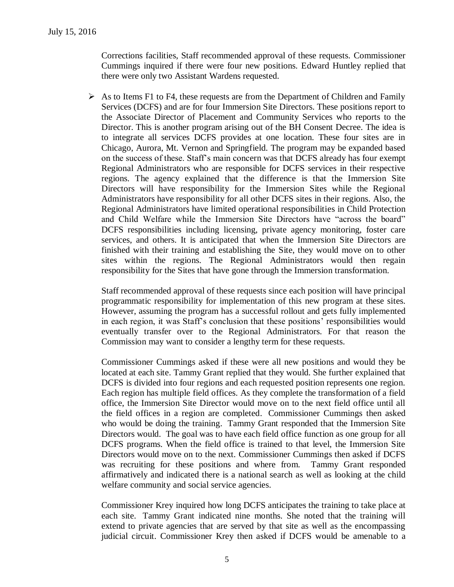Corrections facilities, Staff recommended approval of these requests. Commissioner Cummings inquired if there were four new positions. Edward Huntley replied that there were only two Assistant Wardens requested.

 $\triangleright$  As to Items F1 to F4, these requests are from the Department of Children and Family Services (DCFS) and are for four Immersion Site Directors. These positions report to the Associate Director of Placement and Community Services who reports to the Director. This is another program arising out of the BH Consent Decree. The idea is to integrate all services DCFS provides at one location. These four sites are in Chicago, Aurora, Mt. Vernon and Springfield. The program may be expanded based on the success of these. Staff's main concern was that DCFS already has four exempt Regional Administrators who are responsible for DCFS services in their respective regions. The agency explained that the difference is that the Immersion Site Directors will have responsibility for the Immersion Sites while the Regional Administrators have responsibility for all other DCFS sites in their regions. Also, the Regional Administrators have limited operational responsibilities in Child Protection and Child Welfare while the Immersion Site Directors have "across the board" DCFS responsibilities including licensing, private agency monitoring, foster care services, and others. It is anticipated that when the Immersion Site Directors are finished with their training and establishing the Site, they would move on to other sites within the regions. The Regional Administrators would then regain responsibility for the Sites that have gone through the Immersion transformation.

Staff recommended approval of these requests since each position will have principal programmatic responsibility for implementation of this new program at these sites. However, assuming the program has a successful rollout and gets fully implemented in each region, it was Staff's conclusion that these positions' responsibilities would eventually transfer over to the Regional Administrators. For that reason the Commission may want to consider a lengthy term for these requests.

Commissioner Cummings asked if these were all new positions and would they be located at each site. Tammy Grant replied that they would. She further explained that DCFS is divided into four regions and each requested position represents one region. Each region has multiple field offices. As they complete the transformation of a field office, the Immersion Site Director would move on to the next field office until all the field offices in a region are completed. Commissioner Cummings then asked who would be doing the training. Tammy Grant responded that the Immersion Site Directors would. The goal was to have each field office function as one group for all DCFS programs. When the field office is trained to that level, the Immersion Site Directors would move on to the next. Commissioner Cummings then asked if DCFS was recruiting for these positions and where from. Tammy Grant responded affirmatively and indicated there is a national search as well as looking at the child welfare community and social service agencies.

Commissioner Krey inquired how long DCFS anticipates the training to take place at each site. Tammy Grant indicated nine months. She noted that the training will extend to private agencies that are served by that site as well as the encompassing judicial circuit. Commissioner Krey then asked if DCFS would be amenable to a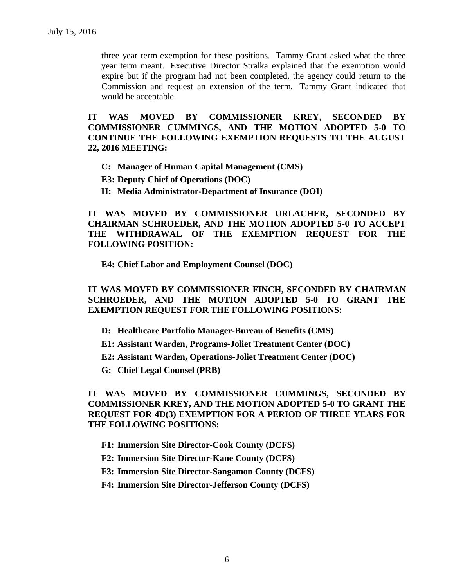three year term exemption for these positions. Tammy Grant asked what the three year term meant. Executive Director Stralka explained that the exemption would expire but if the program had not been completed, the agency could return to the Commission and request an extension of the term. Tammy Grant indicated that would be acceptable.

**IT WAS MOVED BY COMMISSIONER KREY, SECONDED BY COMMISSIONER CUMMINGS, AND THE MOTION ADOPTED 5-0 TO CONTINUE THE FOLLOWING EXEMPTION REQUESTS TO THE AUGUST 22, 2016 MEETING:**

- **C: Manager of Human Capital Management (CMS)**
- **E3: Deputy Chief of Operations (DOC)**
- **H: Media Administrator-Department of Insurance (DOI)**

**IT WAS MOVED BY COMMISSIONER URLACHER, SECONDED BY CHAIRMAN SCHROEDER, AND THE MOTION ADOPTED 5-0 TO ACCEPT THE WITHDRAWAL OF THE EXEMPTION REQUEST FOR THE FOLLOWING POSITION:**

**E4: Chief Labor and Employment Counsel (DOC)**

**IT WAS MOVED BY COMMISSIONER FINCH, SECONDED BY CHAIRMAN SCHROEDER, AND THE MOTION ADOPTED 5-0 TO GRANT THE EXEMPTION REQUEST FOR THE FOLLOWING POSITIONS:**

- **D: Healthcare Portfolio Manager-Bureau of Benefits (CMS)**
- **E1: Assistant Warden, Programs-Joliet Treatment Center (DOC)**
- **E2: Assistant Warden, Operations-Joliet Treatment Center (DOC)**
- **G: Chief Legal Counsel (PRB)**

**IT WAS MOVED BY COMMISSIONER CUMMINGS, SECONDED BY COMMISSIONER KREY, AND THE MOTION ADOPTED 5-0 TO GRANT THE REQUEST FOR 4D(3) EXEMPTION FOR A PERIOD OF THREE YEARS FOR THE FOLLOWING POSITIONS:**

- **F1: Immersion Site Director-Cook County (DCFS)**
- **F2: Immersion Site Director-Kane County (DCFS)**
- **F3: Immersion Site Director-Sangamon County (DCFS)**
- **F4: Immersion Site Director-Jefferson County (DCFS)**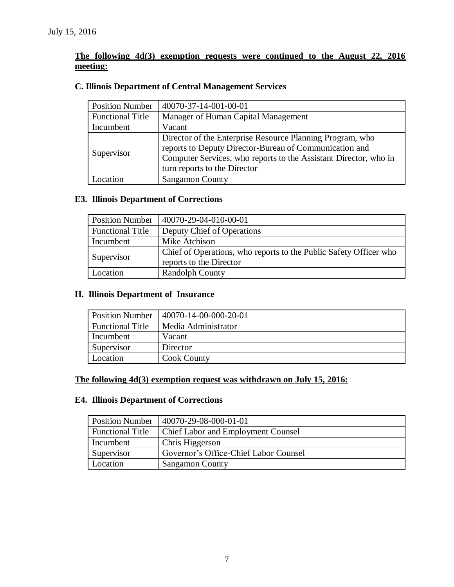# **The following 4d(3) exemption requests were continued to the August 22, 2016 meeting:**

# **C. Illinois Department of Central Management Services**

| <b>Position Number</b>  | 40070-37-14-001-00-01                                                                                                                                                                                                   |
|-------------------------|-------------------------------------------------------------------------------------------------------------------------------------------------------------------------------------------------------------------------|
| <b>Functional Title</b> | Manager of Human Capital Management                                                                                                                                                                                     |
| Incumbent               | Vacant                                                                                                                                                                                                                  |
| Supervisor              | Director of the Enterprise Resource Planning Program, who<br>reports to Deputy Director-Bureau of Communication and<br>Computer Services, who reports to the Assistant Director, who in<br>turn reports to the Director |
|                         |                                                                                                                                                                                                                         |
| Location                | <b>Sangamon County</b>                                                                                                                                                                                                  |

## **E3. Illinois Department of Corrections**

| <b>Position Number</b>  | 40070-29-04-010-00-01                                                                        |
|-------------------------|----------------------------------------------------------------------------------------------|
| <b>Functional Title</b> | Deputy Chief of Operations                                                                   |
| Incumbent               | Mike Atchison                                                                                |
| Supervisor              | Chief of Operations, who reports to the Public Safety Officer who<br>reports to the Director |
| Location                | <b>Randolph County</b>                                                                       |

# **H. Illinois Department of Insurance**

| <b>Position Number</b>  | 40070-14-00-000-20-01 |
|-------------------------|-----------------------|
| <b>Functional Title</b> | Media Administrator   |
| Incumbent               | Vacant                |
| Supervisor              | Director              |
| Location                | <b>Cook County</b>    |

## **The following 4d(3) exemption request was withdrawn on July 15, 2016:**

## **E4. Illinois Department of Corrections**

| <b>Position Number</b>  | 40070-29-08-000-01-01                 |
|-------------------------|---------------------------------------|
| <b>Functional Title</b> | Chief Labor and Employment Counsel    |
| Incumbent               | Chris Higgerson                       |
| Supervisor              | Governor's Office-Chief Labor Counsel |
| Location                | <b>Sangamon County</b>                |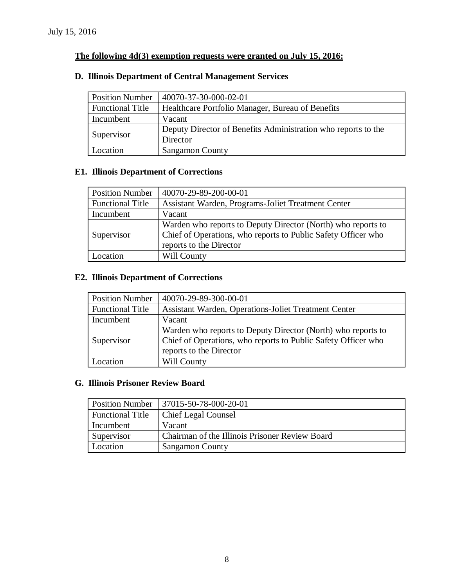## **The following 4d(3) exemption requests were granted on July 15, 2016:**

# Position Number | 40070-37-30-000-02-01 Functional Title | Healthcare Portfolio Manager, Bureau of Benefits Incumbent Vacant Supervisor Deputy Director of Benefits Administration who reports to the Director Location Sangamon County

## **D. Illinois Department of Central Management Services**

## **E1. Illinois Department of Corrections**

| <b>Position Number</b>  | 40070-29-89-200-00-01                                                                                                                                    |
|-------------------------|----------------------------------------------------------------------------------------------------------------------------------------------------------|
| <b>Functional Title</b> | Assistant Warden, Programs-Joliet Treatment Center                                                                                                       |
| Incumbent               | Vacant                                                                                                                                                   |
| Supervisor              | Warden who reports to Deputy Director (North) who reports to<br>Chief of Operations, who reports to Public Safety Officer who<br>reports to the Director |
| Location                | Will County                                                                                                                                              |

## **E2. Illinois Department of Corrections**

| <b>Position Number</b>  | 40070-29-89-300-00-01                                                                                                                                    |
|-------------------------|----------------------------------------------------------------------------------------------------------------------------------------------------------|
| <b>Functional Title</b> | Assistant Warden, Operations-Joliet Treatment Center                                                                                                     |
| Incumbent               | Vacant                                                                                                                                                   |
| Supervisor              | Warden who reports to Deputy Director (North) who reports to<br>Chief of Operations, who reports to Public Safety Officer who<br>reports to the Director |
| Location.               | Will County                                                                                                                                              |

#### **G. Illinois Prisoner Review Board**

| <b>Position Number</b>  | $ 37015 - 50 - 78 - 000 - 20 - 01 $            |
|-------------------------|------------------------------------------------|
| <b>Functional Title</b> | <b>Chief Legal Counsel</b>                     |
| Incumbent               | Vacant                                         |
| Supervisor              | Chairman of the Illinois Prisoner Review Board |
| Location                | Sangamon County                                |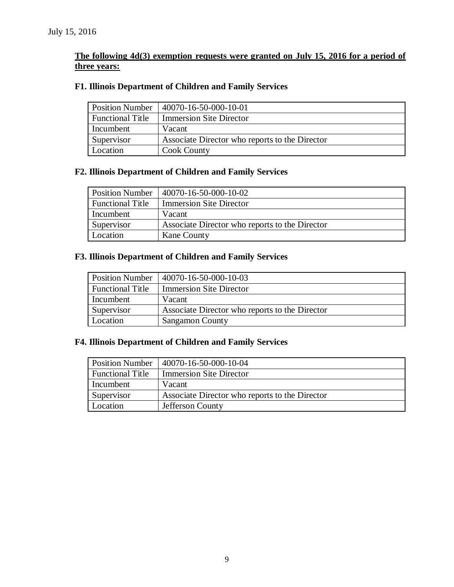# **The following 4d(3) exemption requests were granted on July 15, 2016 for a period of three years:**

# **F1. Illinois Department of Children and Family Services**

| <b>Position Number</b>  | 40070-16-50-000-10-01                          |
|-------------------------|------------------------------------------------|
| <b>Functional Title</b> | <b>Immersion Site Director</b>                 |
| Incumbent               | Vacant                                         |
| Supervisor              | Associate Director who reports to the Director |
| Location                | <b>Cook County</b>                             |

# **F2. Illinois Department of Children and Family Services**

| <b>Position Number</b>  | 40070-16-50-000-10-02                          |
|-------------------------|------------------------------------------------|
| <b>Functional Title</b> | <b>Immersion Site Director</b>                 |
| Incumbent               | Vacant                                         |
| Supervisor              | Associate Director who reports to the Director |
| Location                | <b>Kane County</b>                             |

## **F3. Illinois Department of Children and Family Services**

| <b>Position Number</b>  | 40070-16-50-000-10-03                          |
|-------------------------|------------------------------------------------|
| <b>Functional Title</b> | <b>Immersion Site Director</b>                 |
| Incumbent               | Vacant                                         |
| Supervisor              | Associate Director who reports to the Director |
| Location                | Sangamon County                                |

## **F4. Illinois Department of Children and Family Services**

| <b>Position Number</b>  | 40070-16-50-000-10-04                          |
|-------------------------|------------------------------------------------|
| <b>Functional Title</b> | <b>Immersion Site Director</b>                 |
| Incumbent               | Vacant                                         |
| Supervisor              | Associate Director who reports to the Director |
| Location                | Jefferson County                               |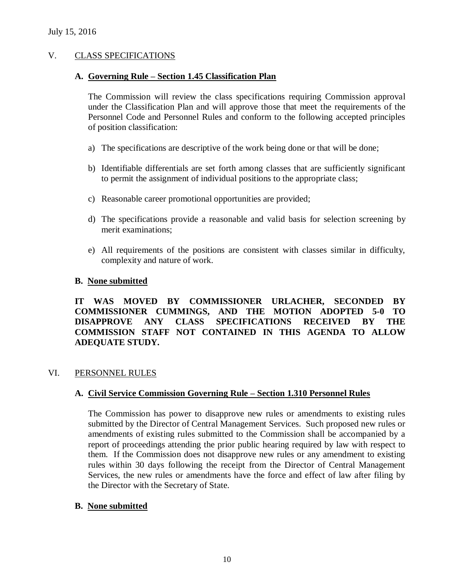## V. CLASS SPECIFICATIONS

## **A. Governing Rule – Section 1.45 Classification Plan**

The Commission will review the class specifications requiring Commission approval under the Classification Plan and will approve those that meet the requirements of the Personnel Code and Personnel Rules and conform to the following accepted principles of position classification:

- a) The specifications are descriptive of the work being done or that will be done;
- b) Identifiable differentials are set forth among classes that are sufficiently significant to permit the assignment of individual positions to the appropriate class;
- c) Reasonable career promotional opportunities are provided;
- d) The specifications provide a reasonable and valid basis for selection screening by merit examinations;
- e) All requirements of the positions are consistent with classes similar in difficulty, complexity and nature of work.

## **B. None submitted**

**IT WAS MOVED BY COMMISSIONER URLACHER, SECONDED BY COMMISSIONER CUMMINGS, AND THE MOTION ADOPTED 5-0 TO DISAPPROVE ANY CLASS SPECIFICATIONS RECEIVED BY THE COMMISSION STAFF NOT CONTAINED IN THIS AGENDA TO ALLOW ADEQUATE STUDY.** 

## VI. PERSONNEL RULES

## **A. Civil Service Commission Governing Rule – Section 1.310 Personnel Rules**

The Commission has power to disapprove new rules or amendments to existing rules submitted by the Director of Central Management Services. Such proposed new rules or amendments of existing rules submitted to the Commission shall be accompanied by a report of proceedings attending the prior public hearing required by law with respect to them. If the Commission does not disapprove new rules or any amendment to existing rules within 30 days following the receipt from the Director of Central Management Services, the new rules or amendments have the force and effect of law after filing by the Director with the Secretary of State.

## **B. None submitted**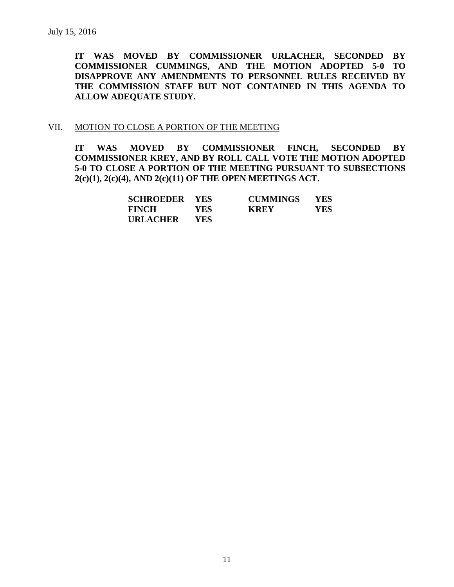**IT WAS MOVED BY COMMISSIONER URLACHER, SECONDED BY COMMISSIONER CUMMINGS, AND THE MOTION ADOPTED 5-0 TO DISAPPROVE ANY AMENDMENTS TO PERSONNEL RULES RECEIVED BY THE COMMISSION STAFF BUT NOT CONTAINED IN THIS AGENDA TO ALLOW ADEQUATE STUDY.** 

#### VII. MOTION TO CLOSE A PORTION OF THE MEETING

**IT WAS MOVED BY COMMISSIONER FINCH, SECONDED BY COMMISSIONER KREY, AND BY ROLL CALL VOTE THE MOTION ADOPTED 5-0 TO CLOSE A PORTION OF THE MEETING PURSUANT TO SUBSECTIONS 2(c)(1), 2(c)(4), AND 2(c)(11) OF THE OPEN MEETINGS ACT.**

| <b>SCHROEDER YES</b> |            | <b>CUMMINGS</b> | <b>YES</b> |
|----------------------|------------|-----------------|------------|
| <b>FINCH</b>         | YES-       | <b>KREY</b>     | YES        |
| <b>URLACHER</b>      | <b>YES</b> |                 |            |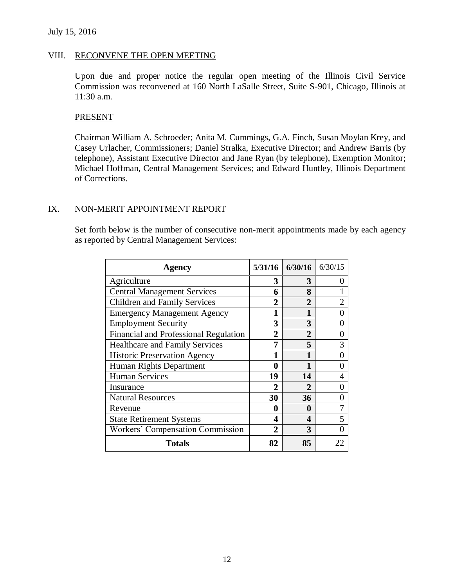## July 15, 2016

#### VIII. RECONVENE THE OPEN MEETING

Upon due and proper notice the regular open meeting of the Illinois Civil Service Commission was reconvened at 160 North LaSalle Street, Suite S-901, Chicago, Illinois at 11:30 a.m.

#### **PRESENT**

Chairman William A. Schroeder; Anita M. Cummings, G.A. Finch, Susan Moylan Krey, and Casey Urlacher, Commissioners; Daniel Stralka, Executive Director; and Andrew Barris (by telephone), Assistant Executive Director and Jane Ryan (by telephone), Exemption Monitor; Michael Hoffman, Central Management Services; and Edward Huntley, Illinois Department of Corrections.

#### IX. NON-MERIT APPOINTMENT REPORT

Set forth below is the number of consecutive non-merit appointments made by each agency as reported by Central Management Services:

| <b>Agency</b>                           | 5/31/16        | 6/30/16      | 6/30/15        |
|-----------------------------------------|----------------|--------------|----------------|
| Agriculture                             | 3              | 3            | 0              |
| <b>Central Management Services</b>      | 6              | 8            |                |
| <b>Children and Family Services</b>     | $\overline{2}$ | $\mathbf{2}$ | $\overline{2}$ |
| <b>Emergency Management Agency</b>      | 1              | 1            | 0              |
| <b>Employment Security</b>              | 3              | 3            | 0              |
| Financial and Professional Regulation   | $\overline{2}$ | $\mathbf{2}$ | 0              |
| <b>Healthcare and Family Services</b>   | 7              | 5            | 3              |
| <b>Historic Preservation Agency</b>     |                |              | 0              |
| Human Rights Department                 | 0              |              | 0              |
| <b>Human Services</b>                   | 19             | 14           | 4              |
| Insurance                               | $\mathbf 2$    | 2            | 0              |
| <b>Natural Resources</b>                | 30             | 36           | 0              |
| Revenue                                 | 0              | 0            | 7              |
| <b>State Retirement Systems</b>         | 4              | 4            | 5              |
| <b>Workers' Compensation Commission</b> | 2              | 3            | 0              |
| <b>Totals</b>                           | 82             | 85           | 22.            |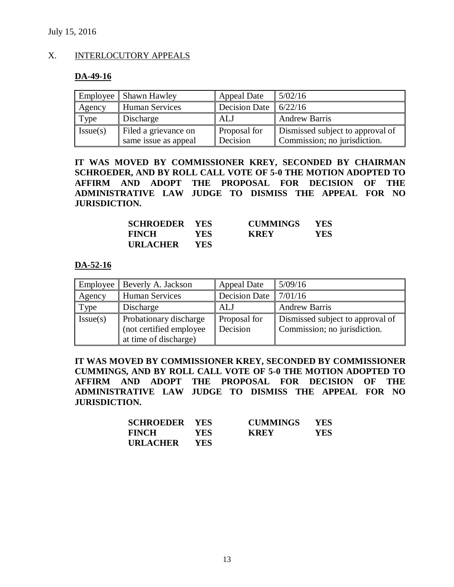## X. INTERLOCUTORY APPEALS

## **DA-49-16**

|          | Employee Shawn Hawley | <b>Appeal Date</b>            | 5/02/16                          |
|----------|-----------------------|-------------------------------|----------------------------------|
| Agency   | <b>Human Services</b> | Decision Date $\vert$ 6/22/16 |                                  |
| Type     | Discharge             | ALJ                           | <b>Andrew Barris</b>             |
| Issue(s) | Filed a grievance on  | <b>Proposal</b> for           | Dismissed subject to approval of |
|          | same issue as appeal  | Decision                      | Commission; no jurisdiction.     |

**IT WAS MOVED BY COMMISSIONER KREY, SECONDED BY CHAIRMAN SCHROEDER, AND BY ROLL CALL VOTE OF 5-0 THE MOTION ADOPTED TO AFFIRM AND ADOPT THE PROPOSAL FOR DECISION OF THE ADMINISTRATIVE LAW JUDGE TO DISMISS THE APPEAL FOR NO JURISDICTION.** 

| <b>SCHROEDER YES</b> |       | <b>CUMMINGS</b> | <b>YES</b> |
|----------------------|-------|-----------------|------------|
| <b>FINCH</b>         | YES . | <b>KREY</b>     | YES        |
| <b>URLACHER</b>      | YES   |                 |            |

## **DA-52-16**

|          | Employee   Beverly A. Jackson                                               | <b>Appeal Date</b>       | 5/09/16                                                          |
|----------|-----------------------------------------------------------------------------|--------------------------|------------------------------------------------------------------|
| Agency   | Human Services                                                              | <b>Decision Date</b>     | 7/01/16                                                          |
| Type     | Discharge                                                                   | ALJ                      | <b>Andrew Barris</b>                                             |
| Issue(s) | Probationary discharge<br>(not certified employee)<br>at time of discharge) | Proposal for<br>Decision | Dismissed subject to approval of<br>Commission; no jurisdiction. |

**IT WAS MOVED BY COMMISSIONER KREY, SECONDED BY COMMISSIONER CUMMINGS, AND BY ROLL CALL VOTE OF 5-0 THE MOTION ADOPTED TO AFFIRM AND ADOPT THE PROPOSAL FOR DECISION OF THE ADMINISTRATIVE LAW JUDGE TO DISMISS THE APPEAL FOR NO JURISDICTION.**

| <b>SCHROEDER YES</b> |            | <b>CUMMINGS</b> | <b>YES</b> |
|----------------------|------------|-----------------|------------|
| <b>FINCH</b>         | <b>YES</b> | <b>KREY</b>     | YES.       |
| <b>URLACHER</b>      | <b>YES</b> |                 |            |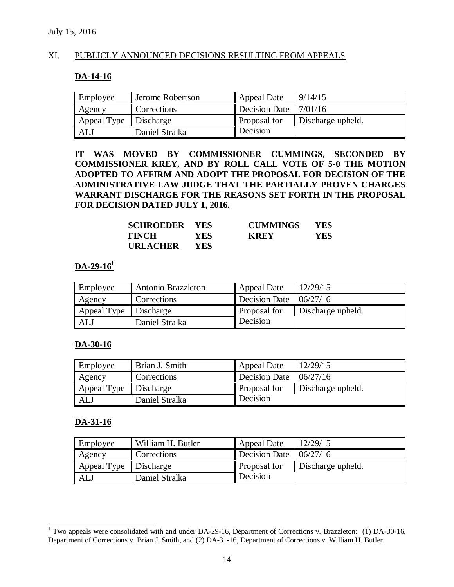## XI. PUBLICLY ANNOUNCED DECISIONS RESULTING FROM APPEALS

#### **DA-14-16**

| Employee    | Jerome Robertson | <b>Appeal Date</b> | 9/14/15           |
|-------------|------------------|--------------------|-------------------|
| Agency      | Corrections      | Decision Date      | 17/01/16          |
| Appeal Type | Discharge        | Proposal for       | Discharge upheld. |
| ALJ         | Daniel Stralka   | Decision           |                   |

**IT WAS MOVED BY COMMISSIONER CUMMINGS, SECONDED BY COMMISSIONER KREY, AND BY ROLL CALL VOTE OF 5-0 THE MOTION ADOPTED TO AFFIRM AND ADOPT THE PROPOSAL FOR DECISION OF THE ADMINISTRATIVE LAW JUDGE THAT THE PARTIALLY PROVEN CHARGES WARRANT DISCHARGE FOR THE REASONS SET FORTH IN THE PROPOSAL FOR DECISION DATED JULY 1, 2016.**

| <b>SCHROEDER YES</b> |            | <b>CUMMINGS</b> | <b>YES</b> |
|----------------------|------------|-----------------|------------|
| <b>FINCH</b>         | <b>YES</b> | <b>KREY</b>     | YES        |
| <b>URLACHER</b>      | <b>YES</b> |                 |            |

# **DA-29-16<sup>1</sup>**

| Employee              | Antonio Brazzleton | <b>Appeal Date</b>                 | 12/29/15          |
|-----------------------|--------------------|------------------------------------|-------------------|
| Agency                | Corrections        | Decision Date $\parallel$ 06/27/16 |                   |
| Appeal Type Discharge |                    | Proposal for                       | Discharge upheld. |
| <b>ALJ</b>            | Daniel Stralka     | Decision                           |                   |

#### **DA-30-16**

| Employee                | Brian J. Smith | <b>Appeal Date</b>                   | 12/29/15          |
|-------------------------|----------------|--------------------------------------|-------------------|
| Agency                  | Corrections    | Decision Date $\vert 06/27/16 \vert$ |                   |
| Appeal Type   Discharge |                | Proposal for                         | Discharge upheld. |
| ALJ                     | Daniel Stralka | Decision                             |                   |

#### **DA-31-16**

 $\overline{a}$ 

| Employee    | William H. Butler | <b>Appeal Date</b>                 | 12/29/15          |
|-------------|-------------------|------------------------------------|-------------------|
| Agency      | Corrections       | Decision Date $\parallel$ 06/27/16 |                   |
| Appeal Type | <b>Discharge</b>  | Proposal for                       | Discharge upheld. |
| <b>ALJ</b>  | Daniel Stralka    | Decision                           |                   |

<sup>&</sup>lt;sup>1</sup> Two appeals were consolidated with and under DA-29-16, Department of Corrections v. Brazzleton: (1) DA-30-16, Department of Corrections v. Brian J. Smith, and (2) DA-31-16, Department of Corrections v. William H. Butler.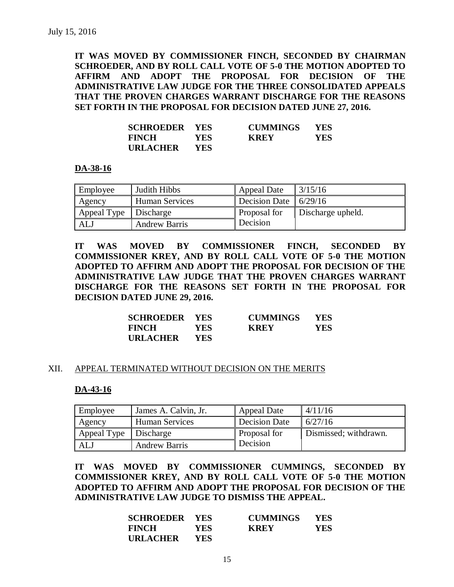**IT WAS MOVED BY COMMISSIONER FINCH, SECONDED BY CHAIRMAN SCHROEDER, AND BY ROLL CALL VOTE OF 5-0 THE MOTION ADOPTED TO AFFIRM AND ADOPT THE PROPOSAL FOR DECISION OF THE ADMINISTRATIVE LAW JUDGE FOR THE THREE CONSOLIDATED APPEALS THAT THE PROVEN CHARGES WARRANT DISCHARGE FOR THE REASONS SET FORTH IN THE PROPOSAL FOR DECISION DATED JUNE 27, 2016.**

| <b>SCHROEDER YES</b> |            | <b>CUMMINGS</b> | <b>YES</b> |
|----------------------|------------|-----------------|------------|
| <b>FINCH</b>         | YES.       | <b>KREY</b>     | YES        |
| <b>URLACHER</b>      | <b>YES</b> |                 |            |

#### **DA-38-16**

| Employee              | Judith Hibbs          | <b>Appeal Date</b>                        | $\frac{3}{15/16}$ |
|-----------------------|-----------------------|-------------------------------------------|-------------------|
| Agency                | <b>Human Services</b> | Decision Date $\vert \vert 6/29/16 \vert$ |                   |
| Appeal Type Discharge |                       | Proposal for                              | Discharge upheld. |
| ALJ                   | <b>Andrew Barris</b>  | Decision                                  |                   |

**IT WAS MOVED BY COMMISSIONER FINCH, SECONDED BY COMMISSIONER KREY, AND BY ROLL CALL VOTE OF 5-0 THE MOTION ADOPTED TO AFFIRM AND ADOPT THE PROPOSAL FOR DECISION OF THE ADMINISTRATIVE LAW JUDGE THAT THE PROVEN CHARGES WARRANT DISCHARGE FOR THE REASONS SET FORTH IN THE PROPOSAL FOR DECISION DATED JUNE 29, 2016.**

| <b>SCHROEDER YES</b> |      | <b>CUMMINGS</b> | <b>YES</b> |
|----------------------|------|-----------------|------------|
| <b>FINCH</b>         | YES- | <b>KREY</b>     | YES        |
| <b>URLACHER</b>      | YES. |                 |            |

#### XII. APPEAL TERMINATED WITHOUT DECISION ON THE MERITS

## **DA-43-16**

| Employee    | James A. Calvin, Jr.  | Appeal Date         | 4/11/16               |
|-------------|-----------------------|---------------------|-----------------------|
| Agency      | <b>Human Services</b> | Decision Date       | 6/27/16               |
| Appeal Type | Discharge             | <b>Proposal for</b> | Dismissed; withdrawn. |
| ALJ         | <b>Andrew Barris</b>  | Decision            |                       |

**IT WAS MOVED BY COMMISSIONER CUMMINGS, SECONDED BY COMMISSIONER KREY, AND BY ROLL CALL VOTE OF 5-0 THE MOTION ADOPTED TO AFFIRM AND ADOPT THE PROPOSAL FOR DECISION OF THE ADMINISTRATIVE LAW JUDGE TO DISMISS THE APPEAL.**

| <b>SCHROEDER YES</b> |            | <b>CUMMINGS</b> | <b>YES</b> |
|----------------------|------------|-----------------|------------|
| <b>FINCH</b>         | <b>YES</b> | <b>KREY</b>     | YES        |
| <b>URLACHER</b>      | <b>YES</b> |                 |            |